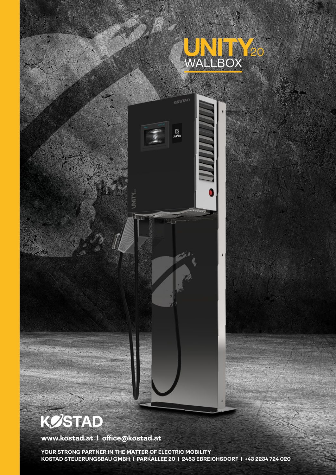



## **KØSTAD**

**www.kostad.at I office@kostad.at**

**YOUR STRONG PARTNER IN THE MATTER OF ELECTRIC MOBILITY KOSTAD STEUERUNGSBAU GMBH I PARKALLEE 20 I 2483 EBREICHSDORF I +43 2234 724 020**